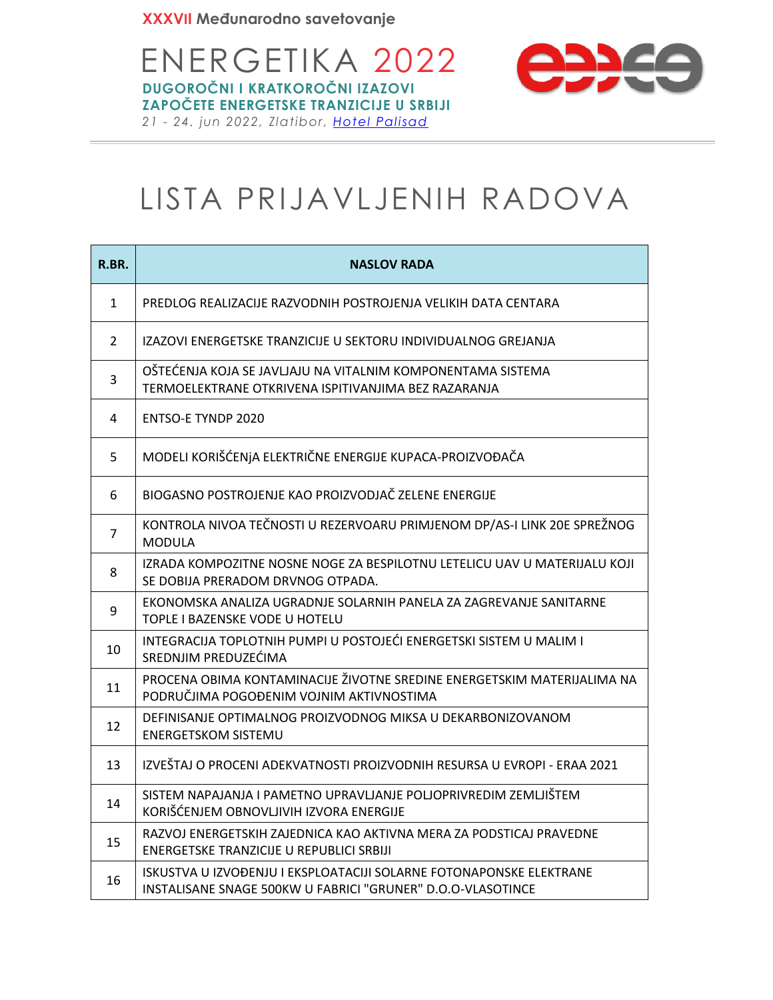

## LISTA PRIJAVLJENIH RADOVA

| R.BR.          | <b>NASLOV RADA</b>                                                                                                                 |
|----------------|------------------------------------------------------------------------------------------------------------------------------------|
| $\mathbf{1}$   | PREDLOG REALIZACIJE RAZVODNIH POSTROJENJA VELIKIH DATA CENTARA                                                                     |
| $\overline{2}$ | IZAZOVI ENERGETSKE TRANZICIJE U SEKTORU INDIVIDUALNOG GREJANJA                                                                     |
| 3              | OŠTEĆENJA KOJA SE JAVLJAJU NA VITALNIM KOMPONENTAMA SISTEMA<br>TERMOELEKTRANE OTKRIVENA ISPITIVANJIMA BEZ RAZARANJA                |
| 4              | <b>ENTSO-E TYNDP 2020</b>                                                                                                          |
| 5              | MODELI KORIŠĆENJA ELEKTRIČNE ENERGIJE KUPACA-PROIZVOĐAČA                                                                           |
| 6              | BIOGASNO POSTROJENJE KAO PROIZVODJAČ ZELENE ENERGIJE                                                                               |
| $\overline{7}$ | KONTROLA NIVOA TEČNOSTI U REZERVOARU PRIMJENOM DP/AS-I LINK 20E SPREŽNOG<br><b>MODULA</b>                                          |
| 8              | IZRADA KOMPOZITNE NOSNE NOGE ZA BESPILOTNU LETELICU UAV U MATERIJALU KOJI<br>SE DOBIJA PRERADOM DRVNOG OTPADA.                     |
| 9              | EKONOMSKA ANALIZA UGRADNJE SOLARNIH PANELA ZA ZAGREVANJE SANITARNE<br>TOPLE I BAZENSKE VODE U HOTELU                               |
| 10             | INTEGRACIJA TOPLOTNIH PUMPI U POSTOJEĆI ENERGETSKI SISTEM U MALIM I<br>SREDNJIM PREDUZEĆIMA                                        |
| 11             | PROCENA OBIMA KONTAMINACIJE ŽIVOTNE SREDINE ENERGETSKIM MATERIJALIMA NA<br>PODRUČJIMA POGOĐENIM VOJNIM AKTIVNOSTIMA                |
| 12             | DEFINISANJE OPTIMALNOG PROIZVODNOG MIKSA U DEKARBONIZOVANOM<br><b>ENERGETSKOM SISTEMU</b>                                          |
| 13             | IZVEŠTAJ O PROCENI ADEKVATNOSTI PROIZVODNIH RESURSA U EVROPI - ERAA 2021                                                           |
| 14             | SISTEM NAPAJANJA I PAMETNO UPRAVLJANJE POLJOPRIVREDIM ZEMLJIŠTEM<br>KORIŠĆENJEM OBNOVLJIVIH IZVORA ENERGIJE                        |
| 15             | RAZVOJ ENERGETSKIH ZAJEDNICA KAO AKTIVNA MERA ZA PODSTICAJ PRAVEDNE<br>ENERGETSKE TRANZICIJE U REPUBLICI SRBIJI                    |
| 16             | ISKUSTVA U IZVOĐENJU I EKSPLOATACIJI SOLARNE FOTONAPONSKE ELEKTRANE<br>INSTALISANE SNAGE 500KW U FABRICI "GRUNER" D.O.O-VLASOTINCE |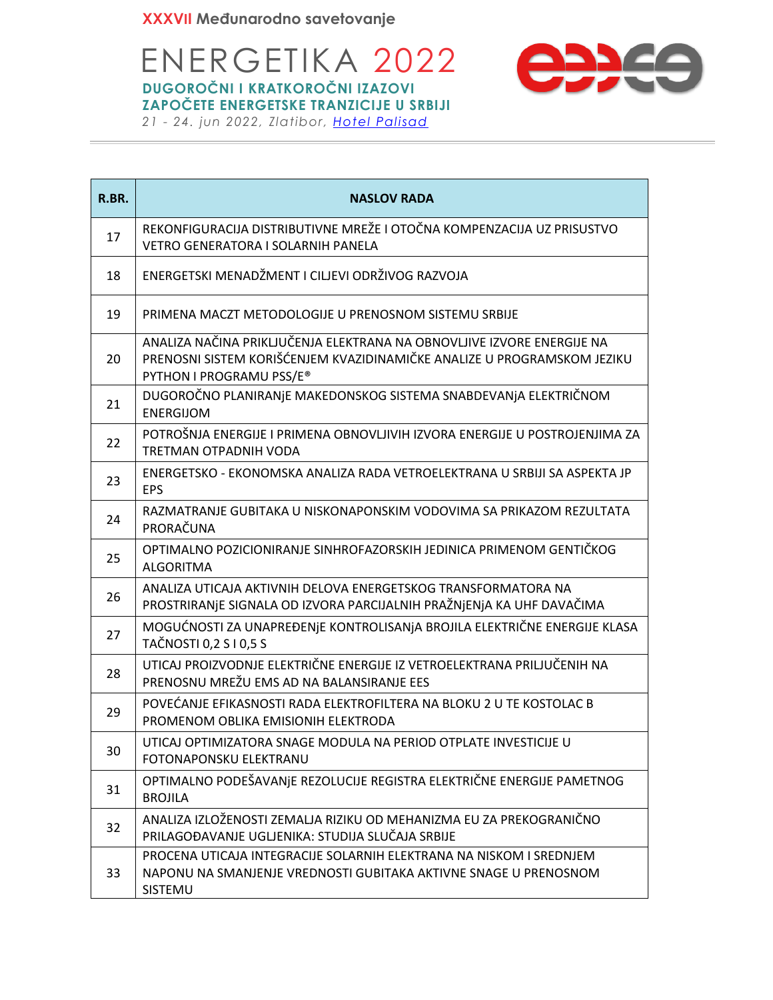

| R.BR. | <b>NASLOV RADA</b>                                                                                                                                                            |  |  |  |
|-------|-------------------------------------------------------------------------------------------------------------------------------------------------------------------------------|--|--|--|
| 17    | REKONFIGURACIJA DISTRIBUTIVNE MREŽE I OTOČNA KOMPENZACIJA UZ PRISUSTVO<br>VETRO GENERATORA I SOLARNIH PANELA                                                                  |  |  |  |
| 18    | ENERGETSKI MENADŽMENT I CILJEVI ODRŽIVOG RAZVOJA                                                                                                                              |  |  |  |
| 19    | PRIMENA MACZT METODOLOGIJE U PRENOSNOM SISTEMU SRBIJE                                                                                                                         |  |  |  |
| 20    | ANALIZA NAČINA PRIKLJUČENJA ELEKTRANA NA OBNOVLJIVE IZVORE ENERGIJE NA<br>PRENOSNI SISTEM KORIŠĆENJEM KVAZIDINAMIČKE ANALIZE U PROGRAMSKOM JEZIKU<br>PYTHON I PROGRAMU PSS/E® |  |  |  |
| 21    | DUGOROČNO PLANIRANJE MAKEDONSKOG SISTEMA SNABDEVANJA ELEKTRIČNOM<br><b>ENERGIJOM</b>                                                                                          |  |  |  |
| 22    | POTROŠNJA ENERGIJE I PRIMENA OBNOVLJIVIH IZVORA ENERGIJE U POSTROJENJIMA ZA<br>TRETMAN OTPADNIH VODA                                                                          |  |  |  |
| 23    | ENERGETSKO - EKONOMSKA ANALIZA RADA VETROELEKTRANA U SRBIJI SA ASPEKTA JP<br><b>EPS</b>                                                                                       |  |  |  |
| 24    | RAZMATRANJE GUBITAKA U NISKONAPONSKIM VODOVIMA SA PRIKAZOM REZULTATA<br>PRORAČUNA                                                                                             |  |  |  |
| 25    | OPTIMALNO POZICIONIRANJE SINHROFAZORSKIH JEDINICA PRIMENOM GENTIČKOG<br><b>ALGORITMA</b>                                                                                      |  |  |  |
| 26    | ANALIZA UTICAJA AKTIVNIH DELOVA ENERGETSKOG TRANSFORMATORA NA<br>PROSTRIRANJE SIGNALA OD IZVORA PARCIJALNIH PRAŽNJENJA KA UHF DAVAČIMA                                        |  |  |  |
| 27    | MOGUĆNOSTI ZA UNAPREĐENJE KONTROLISANJA BROJILA ELEKTRIČNE ENERGIJE KLASA<br>TAČNOSTI 0,2 S I 0,5 S                                                                           |  |  |  |
| 28    | UTICAJ PROIZVODNJE ELEKTRIČNE ENERGIJE IZ VETROELEKTRANA PRILJUČENIH NA<br>PRENOSNU MREŽU EMS AD NA BALANSIRANJE EES                                                          |  |  |  |
| 29    | POVEĆANJE EFIKASNOSTI RADA ELEKTROFILTERA NA BLOKU 2 U TE KOSTOLAC B<br>PROMENOM OBLIKA EMISIONIH ELEKTRODA                                                                   |  |  |  |
| 30    | UTICAJ OPTIMIZATORA SNAGE MODULA NA PERIOD OTPLATE INVESTICIJE U<br>FOTONAPONSKU ELEKTRANU                                                                                    |  |  |  |
| 31    | OPTIMALNO PODEŠAVANJE REZOLUCIJE REGISTRA ELEKTRIČNE ENERGIJE PAMETNOG<br><b>BROJILA</b>                                                                                      |  |  |  |
| 32    | ANALIZA IZLOŽENOSTI ZEMALJA RIZIKU OD MEHANIZMA EU ZA PREKOGRANIČNO<br>PRILAGOĐAVANJE UGLJENIKA: STUDIJA SLUČAJA SRBIJE                                                       |  |  |  |
| 33    | PROCENA UTICAJA INTEGRACIJE SOLARNIH ELEKTRANA NA NISKOM I SREDNJEM<br>NAPONU NA SMANJENJE VREDNOSTI GUBITAKA AKTIVNE SNAGE U PRENOSNOM<br>SISTEMU                            |  |  |  |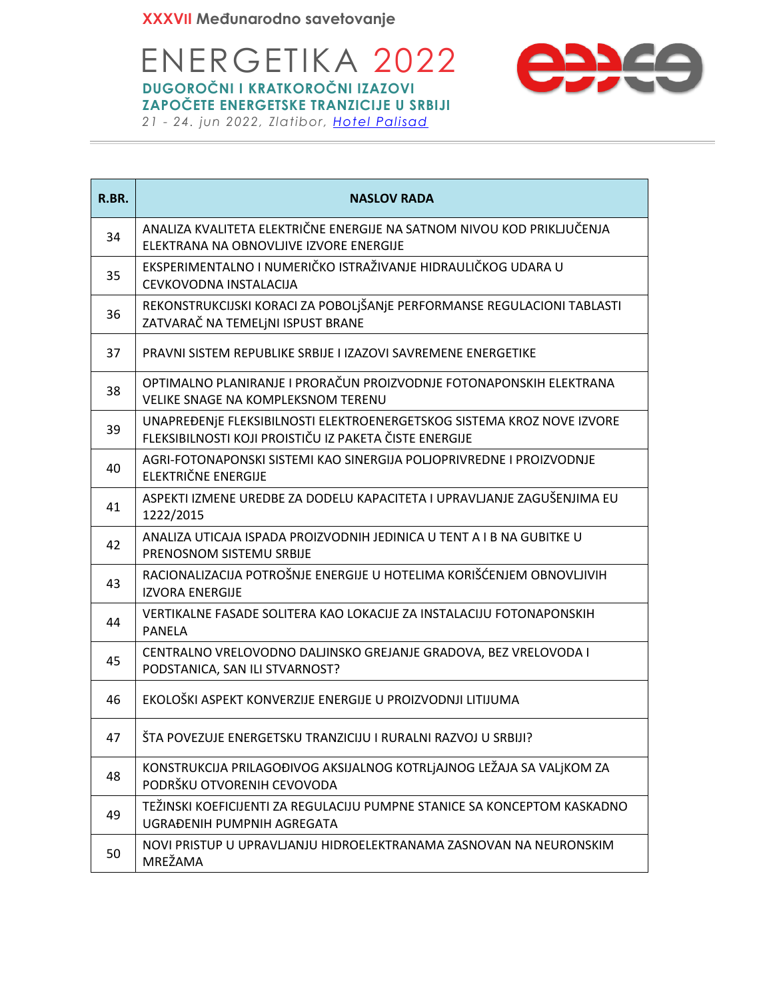

| R.BR. | <b>NASLOV RADA</b>                                                                                                               |
|-------|----------------------------------------------------------------------------------------------------------------------------------|
| 34    | ANALIZA KVALITETA ELEKTRIČNE ENERGIJE NA SATNOM NIVOU KOD PRIKLJUČENJA<br>ELEKTRANA NA OBNOVLJIVE IZVORE ENERGIJE                |
| 35    | EKSPERIMENTALNO I NUMERIČKO ISTRAŽIVANJE HIDRAULIČKOG UDARA U<br>CEVKOVODNA INSTALACIJA                                          |
| 36    | REKONSTRUKCIJSKI KORACI ZA POBOLJŠANJE PERFORMANSE REGULACIONI TABLASTI<br>ZATVARAČ NA TEMELJNI ISPUST BRANE                     |
| 37    | PRAVNI SISTEM REPUBLIKE SRBIJE I IZAZOVI SAVREMENE ENERGETIKE                                                                    |
| 38    | OPTIMALNO PLANIRANJE I PRORAČUN PROIZVODNJE FOTONAPONSKIH ELEKTRANA<br>VELIKE SNAGE NA KOMPLEKSNOM TERENU                        |
| 39    | UNAPREĐENJE FLEKSIBILNOSTI ELEKTROENERGETSKOG SISTEMA KROZ NOVE IZVORE<br>FLEKSIBILNOSTI KOJI PROISTIČU IZ PAKETA ČISTE ENERGIJE |
| 40    | AGRI-FOTONAPONSKI SISTEMI KAO SINERGIJA POLJOPRIVREDNE I PROIZVODNJE<br><b>ELEKTRIČNE ENERGIJE</b>                               |
| 41    | ASPEKTI IZMENE UREDBE ZA DODELU KAPACITETA I UPRAVLJANJE ZAGUŠENJIMA EU<br>1222/2015                                             |
| 42    | ANALIZA UTICAJA ISPADA PROIZVODNIH JEDINICA U TENT A I B NA GUBITKE U<br>PRENOSNOM SISTEMU SRBIJE                                |
| 43    | RACIONALIZACIJA POTROŠNJE ENERGIJE U HOTELIMA KORIŠĆENJEM OBNOVLJIVIH<br><b>IZVORA ENERGIJE</b>                                  |
| 44    | VERTIKALNE FASADE SOLITERA KAO LOKACIJE ZA INSTALACIJU FOTONAPONSKIH<br>PANELA                                                   |
| 45    | CENTRALNO VRELOVODNO DALJINSKO GREJANJE GRADOVA, BEZ VRELOVODA I<br>PODSTANICA, SAN ILI STVARNOST?                               |
| 46    | EKOLOŠKI ASPEKT KONVERZIJE ENERGIJE U PROIZVODNJI LITIJUMA                                                                       |
| 47    | ŠTA POVEZUJE ENERGETSKU TRANZICIJU I RURALNI RAZVOJ U SRBIJI?                                                                    |
| 48    | KONSTRUKCIJA PRILAGOĐIVOG AKSIJALNOG KOTRLJAJNOG LEŽAJA SA VALJKOM ZA<br>PODRŠKU OTVORENIH CEVOVODA                              |
| 49    | TEŽINSKI KOEFICIJENTI ZA REGULACIJU PUMPNE STANICE SA KONCEPTOM KASKADNO<br>UGRAĐENIH PUMPNIH AGREGATA                           |
| 50    | NOVI PRISTUP U UPRAVLJANJU HIDROELEKTRANAMA ZASNOVAN NA NEURONSKIM<br>MREŽAMA                                                    |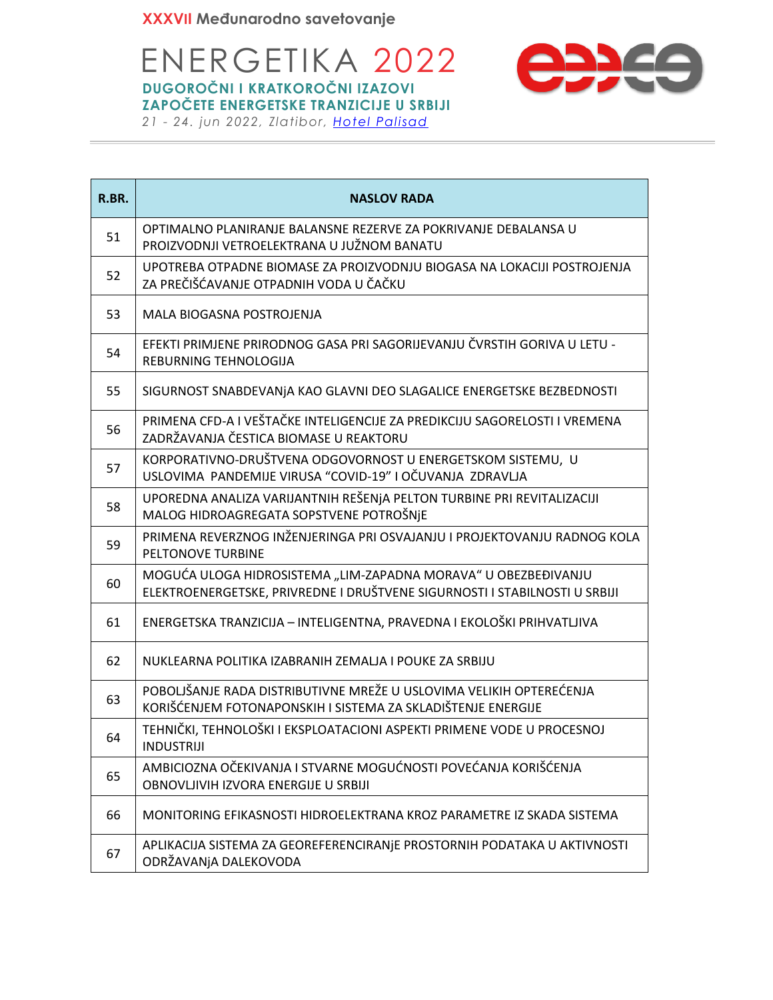

| R.BR. | <b>NASLOV RADA</b>                                                                                                                           |
|-------|----------------------------------------------------------------------------------------------------------------------------------------------|
| 51    | OPTIMALNO PLANIRANJE BALANSNE REZERVE ZA POKRIVANJE DEBALANSA U<br>PROIZVODNJI VETROELEKTRANA U JUŽNOM BANATU                                |
| 52    | UPOTREBA OTPADNE BIOMASE ZA PROIZVODNJU BIOGASA NA LOKACIJI POSTROJENJA<br>ZA PREČIŠĆAVANJE OTPADNIH VODA U ČAČKU                            |
| 53    | MALA BIOGASNA POSTROJENJA                                                                                                                    |
| 54    | EFEKTI PRIMJENE PRIRODNOG GASA PRI SAGORIJEVANJU ČVRSTIH GORIVA U LETU -<br>REBURNING TEHNOLOGIJA                                            |
| 55    | SIGURNOST SNABDEVANJA KAO GLAVNI DEO SLAGALICE ENERGETSKE BEZBEDNOSTI                                                                        |
| 56    | PRIMENA CFD-A I VEŠTAČKE INTELIGENCIJE ZA PREDIKCIJU SAGORELOSTI I VREMENA<br>ZADRŽAVANJA ČESTICA BIOMASE U REAKTORU                         |
| 57    | KORPORATIVNO-DRUŠTVENA ODGOVORNOST U ENERGETSKOM SISTEMU, U<br>USLOVIMA PANDEMIJE VIRUSA "COVID-19" I OČUVANJA ZDRAVLJA                      |
| 58    | UPOREDNA ANALIZA VARIJANTNIH REŠENJA PELTON TURBINE PRI REVITALIZACIJI<br>MALOG HIDROAGREGATA SOPSTVENE POTROŠNJE                            |
| 59    | PRIMENA REVERZNOG INŽENJERINGA PRI OSVAJANJU I PROJEKTOVANJU RADNOG KOLA<br>PELTONOVE TURBINE                                                |
| 60    | MOGUĆA ULOGA HIDROSISTEMA "LIM-ZAPADNA MORAVA" U OBEZBEĐIVANJU<br>ELEKTROENERGETSKE, PRIVREDNE I DRUŠTVENE SIGURNOSTI I STABILNOSTI U SRBIJI |
| 61    | ENERGETSKA TRANZICIJA - INTELIGENTNA, PRAVEDNA I EKOLOŠKI PRIHVATLJIVA                                                                       |
| 62    | NUKLEARNA POLITIKA IZABRANIH ZEMALJA I POUKE ZA SRBIJU                                                                                       |
| 63    | POBOLJŠANJE RADA DISTRIBUTIVNE MREŽE U USLOVIMA VELIKIH OPTEREĆENJA<br>KORIŠĆENJEM FOTONAPONSKIH I SISTEMA ZA SKLADIŠTENJE ENERGIJE          |
| 64    | TEHNIČKI, TEHNOLOŠKI I EKSPLOATACIONI ASPEKTI PRIMENE VODE U PROCESNOJ<br><b>INDUSTRIJI</b>                                                  |
| 65    | AMBICIOZNA OČEKIVANJA I STVARNE MOGUĆNOSTI POVEĆANJA KORIŠĆENJA<br>OBNOVLJIVIH IZVORA ENERGIJE U SRBIJI                                      |
| 66    | MONITORING EFIKASNOSTI HIDROELEKTRANA KROZ PARAMETRE IZ SKADA SISTEMA                                                                        |
| 67    | APLIKACIJA SISTEMA ZA GEOREFERENCIRANJE PROSTORNIH PODATAKA U AKTIVNOSTI<br>ODRŽAVANJA DALEKOVODA                                            |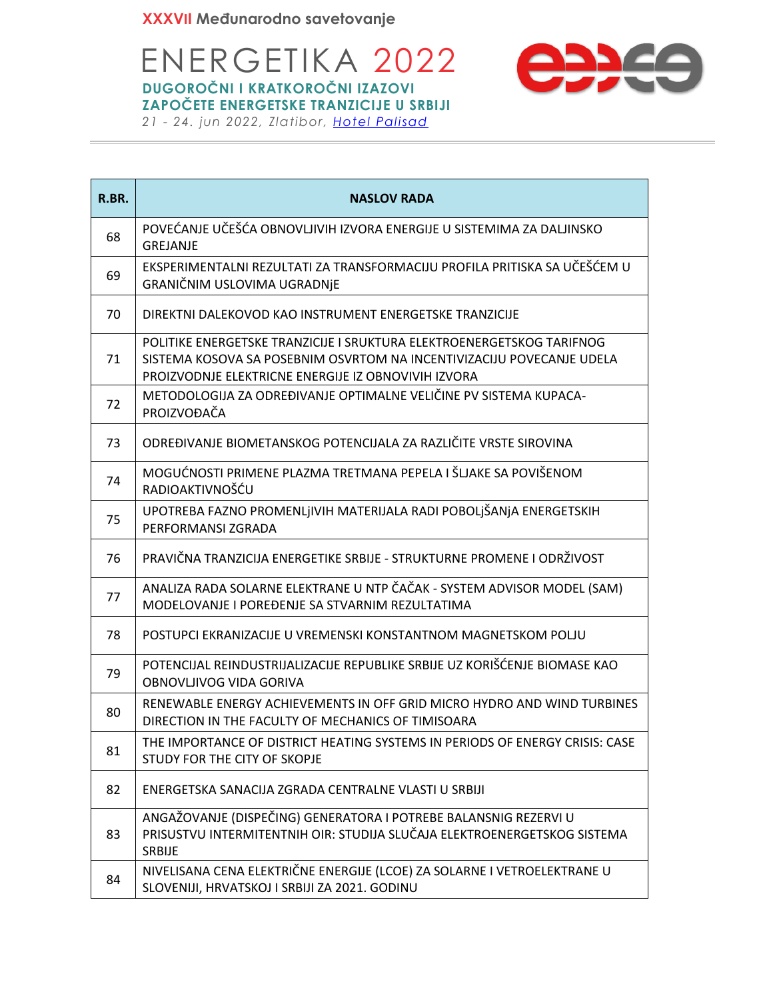ENERGETIKA 2022 **DUGOROČNI I KRATKOROČNI IZAZOVI ZAPOČETE ENERGETSKE TRANZICIJE U SRBIJI**



|  |  |  | 21 - 24. jun 2022, Zlatibor, Hotel Palisad |  |
|--|--|--|--------------------------------------------|--|

| R.BR. | <b>NASLOV RADA</b>                                                                                                                                                                                    |
|-------|-------------------------------------------------------------------------------------------------------------------------------------------------------------------------------------------------------|
| 68    | POVEĆANJE UČEŠĆA OBNOVLJIVIH IZVORA ENERGIJE U SISTEMIMA ZA DALJINSKO<br>GREJANJE                                                                                                                     |
| 69    | EKSPERIMENTALNI REZULTATI ZA TRANSFORMACIJU PROFILA PRITISKA SA UČEŠĆEM U<br>GRANIČNIM USLOVIMA UGRADNJE                                                                                              |
| 70    | DIREKTNI DALEKOVOD KAO INSTRUMENT ENERGETSKE TRANZICIJE                                                                                                                                               |
| 71    | POLITIKE ENERGETSKE TRANZICIJE I SRUKTURA ELEKTROENERGETSKOG TARIFNOG<br>SISTEMA KOSOVA SA POSEBNIM OSVRTOM NA INCENTIVIZACIJU POVECANJE UDELA<br>PROIZVODNJE ELEKTRICNE ENERGIJE IZ OBNOVIVIH IZVORA |
| 72    | METODOLOGIJA ZA ODREĐIVANJE OPTIMALNE VELIČINE PV SISTEMA KUPACA-<br>PROIZVOĐAČA                                                                                                                      |
| 73    | ODREĐIVANJE BIOMETANSKOG POTENCIJALA ZA RAZLIČITE VRSTE SIROVINA                                                                                                                                      |
| 74    | MOGUĆNOSTI PRIMENE PLAZMA TRETMANA PEPELA I ŠLJAKE SA POVIŠENOM<br>RADIOAKTIVNOŠĆU                                                                                                                    |
| 75    | UPOTREBA FAZNO PROMENLJIVIH MATERIJALA RADI POBOLJŠANJA ENERGETSKIH<br>PERFORMANSI ZGRADA                                                                                                             |
| 76    | PRAVIČNA TRANZICIJA ENERGETIKE SRBIJE - STRUKTURNE PROMENE I ODRŽIVOST                                                                                                                                |
| 77    | ANALIZA RADA SOLARNE ELEKTRANE U NTP ČAČAK - SYSTEM ADVISOR MODEL (SAM)<br>MODELOVANJE I POREĐENJE SA STVARNIM REZULTATIMA                                                                            |
| 78    | POSTUPCI EKRANIZACIJE U VREMENSKI KONSTANTNOM MAGNETSKOM POLJU                                                                                                                                        |
| 79    | POTENCIJAL REINDUSTRIJALIZACIJE REPUBLIKE SRBIJE UZ KORIŠĆENJE BIOMASE KAO<br>OBNOVLJIVOG VIDA GORIVA                                                                                                 |
| 80    | RENEWABLE ENERGY ACHIEVEMENTS IN OFF GRID MICRO HYDRO AND WIND TURBINES<br>DIRECTION IN THE FACULTY OF MECHANICS OF TIMISOARA                                                                         |
| 81    | THE IMPORTANCE OF DISTRICT HEATING SYSTEMS IN PERIODS OF ENERGY CRISIS: CASE<br>STUDY FOR THE CITY OF SKOPJE                                                                                          |
| 82    | ENERGETSKA SANACIJA ZGRADA CENTRALNE VLASTI U SRBIJI                                                                                                                                                  |
| 83    | ANGAŽOVANJE (DISPEČING) GENERATORA I POTREBE BALANSNIG REZERVI U<br>PRISUSTVU INTERMITENTNIH OIR: STUDIJA SLUČAJA ELEKTROENERGETSKOG SISTEMA<br>SRBIJE                                                |
| 84    | NIVELISANA CENA ELEKTRIČNE ENERGIJE (LCOE) ZA SOLARNE I VETROELEKTRANE U<br>SLOVENIJI, HRVATSKOJ I SRBIJI ZA 2021. GODINU                                                                             |